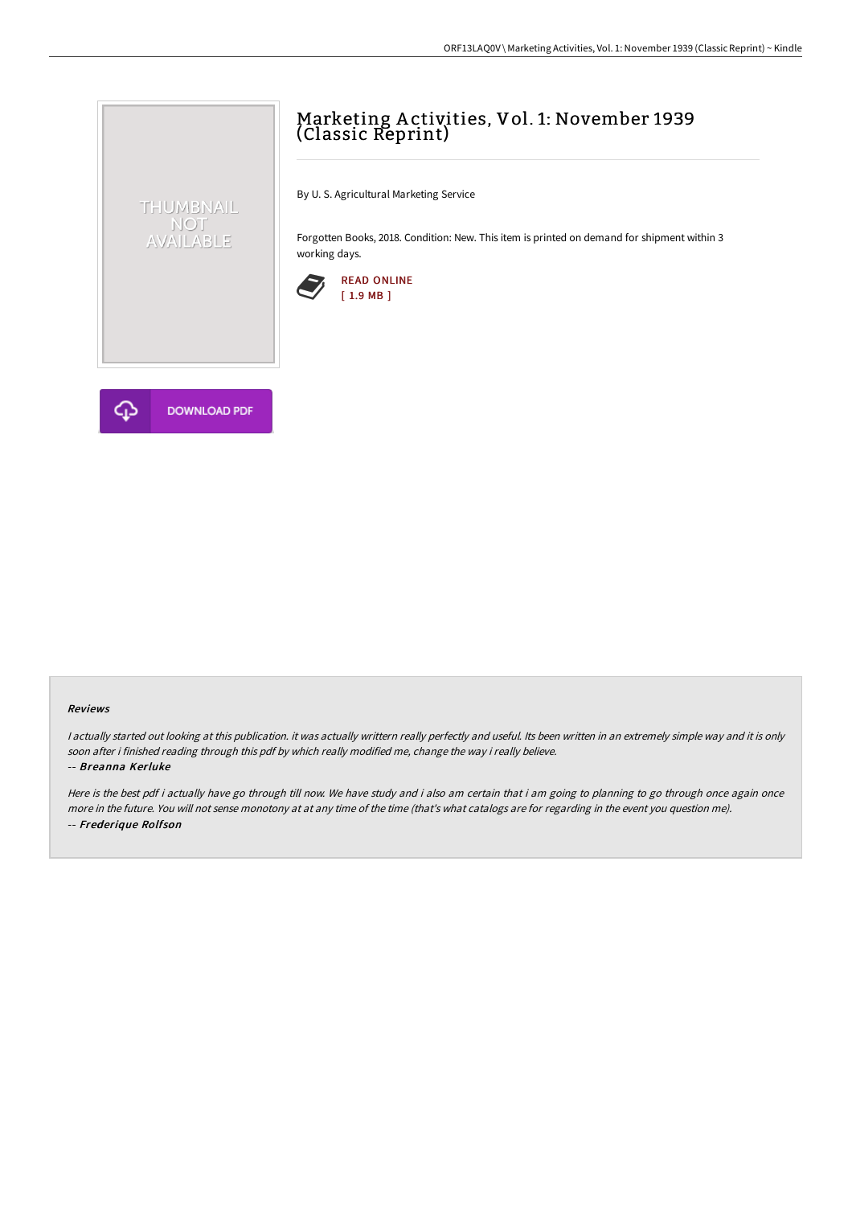# Marketing A ctivities, Vol. 1: November 1939 (Classic Reprint)

By U. S. Agricultural Marketing Service

Forgotten Books, 2018. Condition: New. This item is printed on demand for shipment within 3 working days.





THUMBNAIL NOT<br>AVAILABLE

#### Reviews

<sup>I</sup> actually started out looking at this publication. it was actually writtern really perfectly and useful. Its been written in an extremely simple way and it is only soon after i finished reading through this pdf by which really modified me, change the way i really believe.

#### -- Breanna Kerluke

Here is the best pdf i actually have go through till now. We have study and i also am certain that i am going to planning to go through once again once more in the future. You will not sense monotony at at any time of the time (that's what catalogs are for regarding in the event you question me). -- Frederique Rolfson